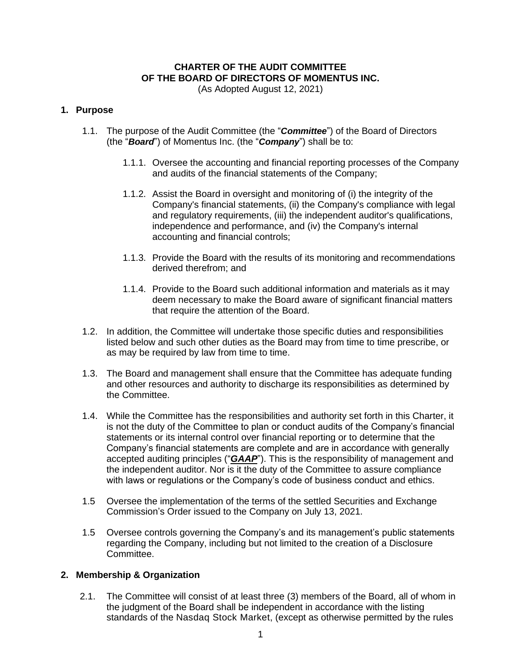# **CHARTER OF THE AUDIT COMMITTEE OF THE BOARD OF DIRECTORS OF MOMENTUS INC.**

(As Adopted August 12, 2021)

### **1. Purpose**

- 1.1. The purpose of the Audit Committee (the "*Committee*") of the Board of Directors (the "*Board*") of Momentus Inc. (the "*Company*") shall be to:
	- 1.1.1. Oversee the accounting and financial reporting processes of the Company and audits of the financial statements of the Company;
	- 1.1.2. Assist the Board in oversight and monitoring of (i) the integrity of the Company's financial statements, (ii) the Company's compliance with legal and regulatory requirements, (iii) the independent auditor's qualifications, independence and performance, and (iv) the Company's internal accounting and financial controls;
	- 1.1.3. Provide the Board with the results of its monitoring and recommendations derived therefrom; and
	- 1.1.4. Provide to the Board such additional information and materials as it may deem necessary to make the Board aware of significant financial matters that require the attention of the Board.
- 1.2. In addition, the Committee will undertake those specific duties and responsibilities listed below and such other duties as the Board may from time to time prescribe, or as may be required by law from time to time.
- 1.3. The Board and management shall ensure that the Committee has adequate funding and other resources and authority to discharge its responsibilities as determined by the Committee.
- 1.4. While the Committee has the responsibilities and authority set forth in this Charter, it is not the duty of the Committee to plan or conduct audits of the Company's financial statements or its internal control over financial reporting or to determine that the Company's financial statements are complete and are in accordance with generally accepted auditing principles ("*GAAP*"). This is the responsibility of management and the independent auditor. Nor is it the duty of the Committee to assure compliance with laws or regulations or the Company's code of business conduct and ethics.
- 1.5 Oversee the implementation of the terms of the settled Securities and Exchange Commission's Order issued to the Company on July 13, 2021.
- 1.5 Oversee controls governing the Company's and its management's public statements regarding the Company, including but not limited to the creation of a Disclosure Committee.

## **2. Membership & Organization**

2.1. The Committee will consist of at least three (3) members of the Board, all of whom in the judgment of the Board shall be independent in accordance with the listing standards of the Nasdaq Stock Market, (except as otherwise permitted by the rules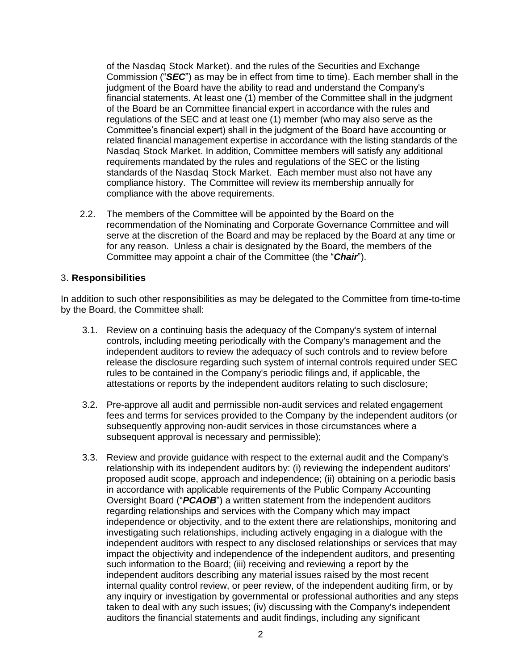of the Nasdaq Stock Market). and the rules of the Securities and Exchange Commission ("*SEC*") as may be in effect from time to time). Each member shall in the judgment of the Board have the ability to read and understand the Company's financial statements. At least one (1) member of the Committee shall in the judgment of the Board be an Committee financial expert in accordance with the rules and regulations of the SEC and at least one (1) member (who may also serve as the Committee's financial expert) shall in the judgment of the Board have accounting or related financial management expertise in accordance with the listing standards of the Nasdaq Stock Market. In addition, Committee members will satisfy any additional requirements mandated by the rules and regulations of the SEC or the listing standards of the Nasdaq Stock Market. Each member must also not have any compliance history. The Committee will review its membership annually for compliance with the above requirements.

2.2. The members of the Committee will be appointed by the Board on the recommendation of the Nominating and Corporate Governance Committee and will serve at the discretion of the Board and may be replaced by the Board at any time or for any reason. Unless a chair is designated by the Board, the members of the Committee may appoint a chair of the Committee (the "*Chair*").

### 3. **Responsibilities**

In addition to such other responsibilities as may be delegated to the Committee from time-to-time by the Board, the Committee shall:

- 3.1. Review on a continuing basis the adequacy of the Company's system of internal controls, including meeting periodically with the Company's management and the independent auditors to review the adequacy of such controls and to review before release the disclosure regarding such system of internal controls required under SEC rules to be contained in the Company's periodic filings and, if applicable, the attestations or reports by the independent auditors relating to such disclosure;
- 3.2. Pre-approve all audit and permissible non-audit services and related engagement fees and terms for services provided to the Company by the independent auditors (or subsequently approving non-audit services in those circumstances where a subsequent approval is necessary and permissible);
- 3.3. Review and provide guidance with respect to the external audit and the Company's relationship with its independent auditors by: (i) reviewing the independent auditors' proposed audit scope, approach and independence; (ii) obtaining on a periodic basis in accordance with applicable requirements of the Public Company Accounting Oversight Board ("*PCAOB*") a written statement from the independent auditors regarding relationships and services with the Company which may impact independence or objectivity, and to the extent there are relationships, monitoring and investigating such relationships, including actively engaging in a dialogue with the independent auditors with respect to any disclosed relationships or services that may impact the objectivity and independence of the independent auditors, and presenting such information to the Board; (iii) receiving and reviewing a report by the independent auditors describing any material issues raised by the most recent internal quality control review, or peer review, of the independent auditing firm, or by any inquiry or investigation by governmental or professional authorities and any steps taken to deal with any such issues; (iv) discussing with the Company's independent auditors the financial statements and audit findings, including any significant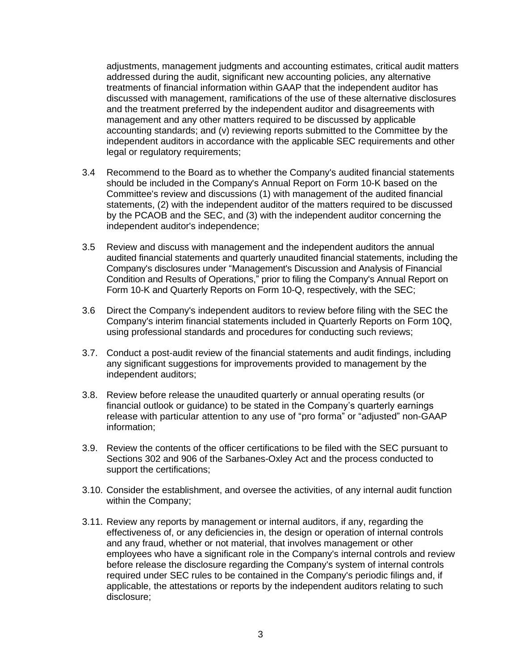adjustments, management judgments and accounting estimates, critical audit matters addressed during the audit, significant new accounting policies, any alternative treatments of financial information within GAAP that the independent auditor has discussed with management, ramifications of the use of these alternative disclosures and the treatment preferred by the independent auditor and disagreements with management and any other matters required to be discussed by applicable accounting standards; and (v) reviewing reports submitted to the Committee by the independent auditors in accordance with the applicable SEC requirements and other legal or regulatory requirements;

- 3.4 Recommend to the Board as to whether the Company's audited financial statements should be included in the Company's Annual Report on Form 10-K based on the Committee's review and discussions (1) with management of the audited financial statements, (2) with the independent auditor of the matters required to be discussed by the PCAOB and the SEC, and (3) with the independent auditor concerning the independent auditor's independence;
- 3.5 Review and discuss with management and the independent auditors the annual audited financial statements and quarterly unaudited financial statements, including the Company's disclosures under "Management's Discussion and Analysis of Financial Condition and Results of Operations," prior to filing the Company's Annual Report on Form 10-K and Quarterly Reports on Form 10-Q, respectively, with the SEC;
- 3.6 Direct the Company's independent auditors to review before filing with the SEC the Company's interim financial statements included in Quarterly Reports on Form 10Q, using professional standards and procedures for conducting such reviews;
- 3.7. Conduct a post-audit review of the financial statements and audit findings, including any significant suggestions for improvements provided to management by the independent auditors;
- 3.8. Review before release the unaudited quarterly or annual operating results (or financial outlook or guidance) to be stated in the Company's quarterly earnings release with particular attention to any use of "pro forma" or "adjusted" non-GAAP information;
- 3.9. Review the contents of the officer certifications to be filed with the SEC pursuant to Sections 302 and 906 of the Sarbanes-Oxley Act and the process conducted to support the certifications;
- 3.10. Consider the establishment, and oversee the activities, of any internal audit function within the Company;
- 3.11. Review any reports by management or internal auditors, if any, regarding the effectiveness of, or any deficiencies in, the design or operation of internal controls and any fraud, whether or not material, that involves management or other employees who have a significant role in the Company's internal controls and review before release the disclosure regarding the Company's system of internal controls required under SEC rules to be contained in the Company's periodic filings and, if applicable, the attestations or reports by the independent auditors relating to such disclosure;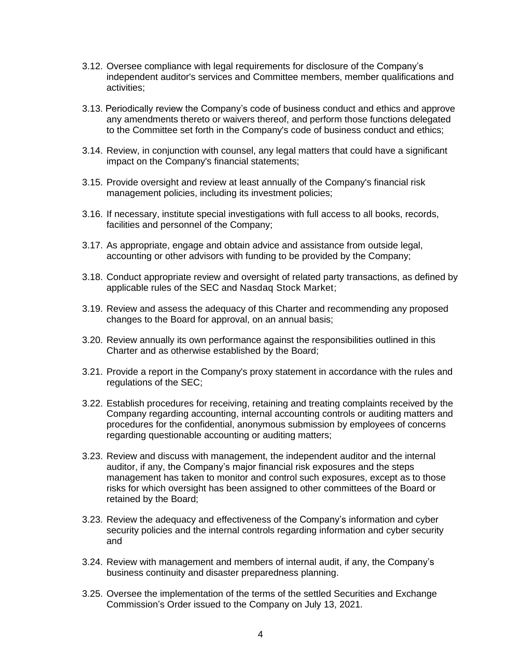- 3.12. Oversee compliance with legal requirements for disclosure of the Company's independent auditor's services and Committee members, member qualifications and activities;
- 3.13. Periodically review the Company's code of business conduct and ethics and approve any amendments thereto or waivers thereof, and perform those functions delegated to the Committee set forth in the Company's code of business conduct and ethics;
- 3.14. Review, in conjunction with counsel, any legal matters that could have a significant impact on the Company's financial statements;
- 3.15. Provide oversight and review at least annually of the Company's financial risk management policies, including its investment policies;
- 3.16. If necessary, institute special investigations with full access to all books, records, facilities and personnel of the Company;
- 3.17. As appropriate, engage and obtain advice and assistance from outside legal, accounting or other advisors with funding to be provided by the Company;
- 3.18. Conduct appropriate review and oversight of related party transactions, as defined by applicable rules of the SEC and Nasdaq Stock Market;
- 3.19. Review and assess the adequacy of this Charter and recommending any proposed changes to the Board for approval, on an annual basis;
- 3.20. Review annually its own performance against the responsibilities outlined in this Charter and as otherwise established by the Board;
- 3.21. Provide a report in the Company's proxy statement in accordance with the rules and regulations of the SEC;
- 3.22. Establish procedures for receiving, retaining and treating complaints received by the Company regarding accounting, internal accounting controls or auditing matters and procedures for the confidential, anonymous submission by employees of concerns regarding questionable accounting or auditing matters;
- 3.23. Review and discuss with management, the independent auditor and the internal auditor, if any, the Company's major financial risk exposures and the steps management has taken to monitor and control such exposures, except as to those risks for which oversight has been assigned to other committees of the Board or retained by the Board;
- 3.23. Review the adequacy and effectiveness of the Company's information and cyber security policies and the internal controls regarding information and cyber security and
- 3.24. Review with management and members of internal audit, if any, the Company's business continuity and disaster preparedness planning.
- 3.25. Oversee the implementation of the terms of the settled Securities and Exchange Commission's Order issued to the Company on July 13, 2021.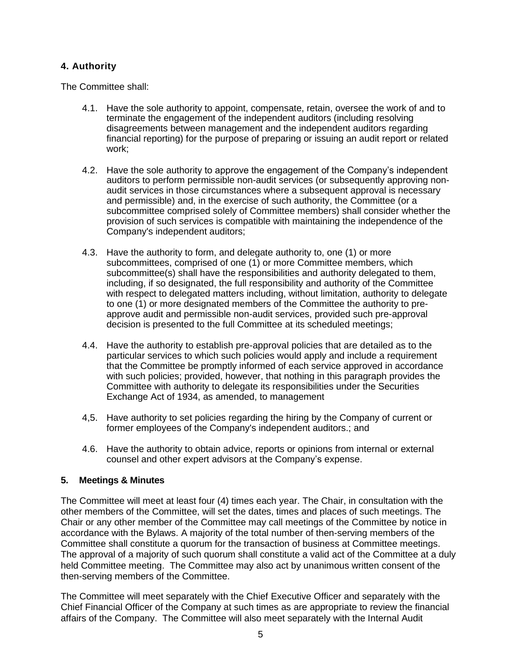# **4. Authority**

The Committee shall:

- 4.1. Have the sole authority to appoint, compensate, retain, oversee the work of and to terminate the engagement of the independent auditors (including resolving disagreements between management and the independent auditors regarding financial reporting) for the purpose of preparing or issuing an audit report or related work;
- 4.2. Have the sole authority to approve the engagement of the Company's independent auditors to perform permissible non-audit services (or subsequently approving nonaudit services in those circumstances where a subsequent approval is necessary and permissible) and, in the exercise of such authority, the Committee (or a subcommittee comprised solely of Committee members) shall consider whether the provision of such services is compatible with maintaining the independence of the Company's independent auditors;
- 4.3. Have the authority to form, and delegate authority to, one (1) or more subcommittees, comprised of one (1) or more Committee members, which subcommittee(s) shall have the responsibilities and authority delegated to them, including, if so designated, the full responsibility and authority of the Committee with respect to delegated matters including, without limitation, authority to delegate to one (1) or more designated members of the Committee the authority to preapprove audit and permissible non-audit services, provided such pre-approval decision is presented to the full Committee at its scheduled meetings;
- 4.4. Have the authority to establish pre-approval policies that are detailed as to the particular services to which such policies would apply and include a requirement that the Committee be promptly informed of each service approved in accordance with such policies; provided, however, that nothing in this paragraph provides the Committee with authority to delegate its responsibilities under the Securities Exchange Act of 1934, as amended, to management
- 4,5. Have authority to set policies regarding the hiring by the Company of current or former employees of the Company's independent auditors.; and
- 4.6. Have the authority to obtain advice, reports or opinions from internal or external counsel and other expert advisors at the Company's expense.

## **5. Meetings & Minutes**

The Committee will meet at least four (4) times each year. The Chair, in consultation with the other members of the Committee, will set the dates, times and places of such meetings. The Chair or any other member of the Committee may call meetings of the Committee by notice in accordance with the Bylaws. A majority of the total number of then-serving members of the Committee shall constitute a quorum for the transaction of business at Committee meetings. The approval of a majority of such quorum shall constitute a valid act of the Committee at a duly held Committee meeting. The Committee may also act by unanimous written consent of the then-serving members of the Committee.

The Committee will meet separately with the Chief Executive Officer and separately with the Chief Financial Officer of the Company at such times as are appropriate to review the financial affairs of the Company. The Committee will also meet separately with the Internal Audit